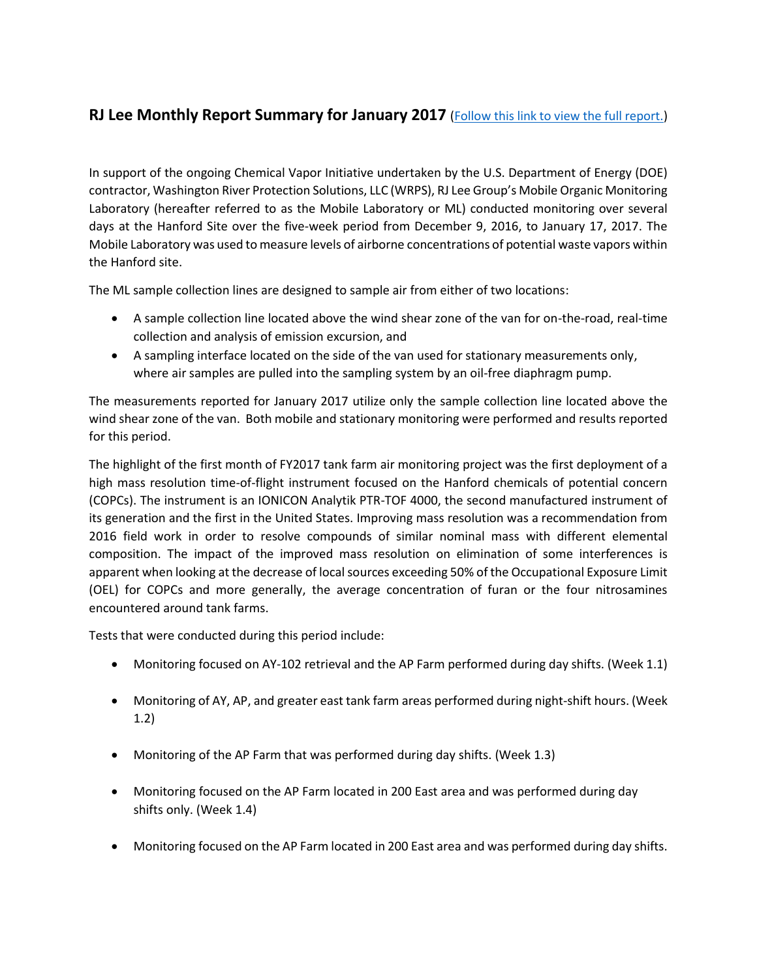## **RJ Lee Monthly Report Summary for January 2017** [\(Follow this link to view the full report.\)](https://hanfordvapors.com/wp-content/uploads/2017/10/Mobile-Lab-PTR-MS-Chemical-Vapor-Initiative-Monthly-Report-1-61485-000-SUB-006-001-02.pdf)

In support of the ongoing Chemical Vapor Initiative undertaken by the U.S. Department of Energy (DOE) contractor, Washington River Protection Solutions, LLC (WRPS), RJ Lee Group's Mobile Organic Monitoring Laboratory (hereafter referred to as the Mobile Laboratory or ML) conducted monitoring over several days at the Hanford Site over the five-week period from December 9, 2016, to January 17, 2017. The Mobile Laboratory was used to measure levels of airborne concentrations of potential waste vapors within the Hanford site.

The ML sample collection lines are designed to sample air from either of two locations:

- A sample collection line located above the wind shear zone of the van for on-the-road, real-time collection and analysis of emission excursion, and
- A sampling interface located on the side of the van used for stationary measurements only, where air samples are pulled into the sampling system by an oil-free diaphragm pump.

The measurements reported for January 2017 utilize only the sample collection line located above the wind shear zone of the van. Both mobile and stationary monitoring were performed and results reported for this period.

The highlight of the first month of FY2017 tank farm air monitoring project was the first deployment of a high mass resolution time-of-flight instrument focused on the Hanford chemicals of potential concern (COPCs). The instrument is an IONICON Analytik PTR-TOF 4000, the second manufactured instrument of its generation and the first in the United States. Improving mass resolution was a recommendation from 2016 field work in order to resolve compounds of similar nominal mass with different elemental composition. The impact of the improved mass resolution on elimination of some interferences is apparent when looking at the decrease of local sources exceeding 50% of the Occupational Exposure Limit (OEL) for COPCs and more generally, the average concentration of furan or the four nitrosamines encountered around tank farms.

Tests that were conducted during this period include:

- Monitoring focused on AY-102 retrieval and the AP Farm performed during day shifts. (Week 1.1)
- Monitoring of AY, AP, and greater east tank farm areas performed during night-shift hours. (Week 1.2)
- Monitoring of the AP Farm that was performed during day shifts. (Week 1.3)
- Monitoring focused on the AP Farm located in 200 East area and was performed during day shifts only. (Week 1.4)
- Monitoring focused on the AP Farm located in 200 East area and was performed during day shifts.